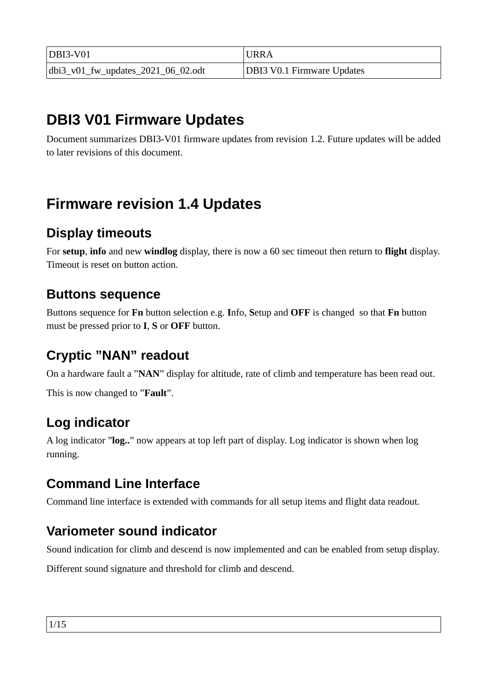| $DBI3-V01$                            | URRA                              |
|---------------------------------------|-----------------------------------|
| $ dbi3_v01_fw_updates_2021_06_02.pdf$ | <b>DBI3 V0.1 Firmware Updates</b> |

# **DBI3 V01 Firmware Updates**

Document summarizes DBI3-V01 firmware updates from revision 1.2. Future updates will be added to later revisions of this document.

# **Firmware revision 1.4 Updates**

### **Display timeouts**

For **setup**, **info** and new **windlog** display, there is now a 60 sec timeout then return to **flight** display. Timeout is reset on button action.

### **Buttons sequence**

Buttons sequence for **Fn** button selection e.g. **I**nfo, **S**etup and **OFF** is changed so that **Fn** button must be pressed prior to **I**, **S** or **OFF** button.

### **Cryptic "NAN" readout**

On a hardware fault a "**NAN**" display for altitude, rate of climb and temperature has been read out.

This is now changed to "**Fault**".

### **Log indicator**

A log indicator "**log..**" now appears at top left part of display. Log indicator is shown when log running.

### **Command Line Interface**

Command line interface is extended with commands for all setup items and flight data readout.

### **Variometer sound indicator**

Sound indication for climb and descend is now implemented and can be enabled from setup display.

Different sound signature and threshold for climb and descend.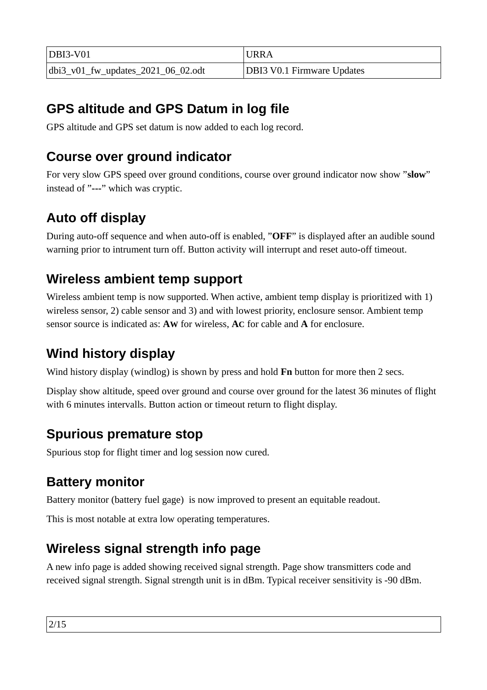| $DBI3-V01$                         | <b>URRA</b>                       |
|------------------------------------|-----------------------------------|
| dbi3_v01_fw_updates_2021_06_02.odt | <b>DBI3 V0.1 Firmware Updates</b> |

## **GPS altitude and GPS Datum in log file**

GPS altitude and GPS set datum is now added to each log record.

### **Course over ground indicator**

For very slow GPS speed over ground conditions, course over ground indicator now show "**slow**" instead of "**---**" which was cryptic.

## **Auto off display**

During auto-off sequence and when auto-off is enabled, "**OFF**" is displayed after an audible sound warning prior to intrument turn off. Button activity will interrupt and reset auto-off timeout.

### **Wireless ambient temp support**

Wireless ambient temp is now supported. When active, ambient temp display is prioritized with 1) wireless sensor, 2) cable sensor and 3) and with lowest priority, enclosure sensor. Ambient temp sensor source is indicated as: **AW** for wireless, **AC** for cable and **A** for enclosure.

## **Wind history display**

Wind history display (windlog) is shown by press and hold **Fn** button for more then 2 secs.

Display show altitude, speed over ground and course over ground for the latest 36 minutes of flight with 6 minutes intervalls. Button action or timeout return to flight display.

### **Spurious premature stop**

Spurious stop for flight timer and log session now cured.

### **Battery monitor**

Battery monitor (battery fuel gage) is now improved to present an equitable readout.

This is most notable at extra low operating temperatures.

### **Wireless signal strength info page**

A new info page is added showing received signal strength. Page show transmitters code and received signal strength. Signal strength unit is in dBm. Typical receiver sensitivity is -90 dBm.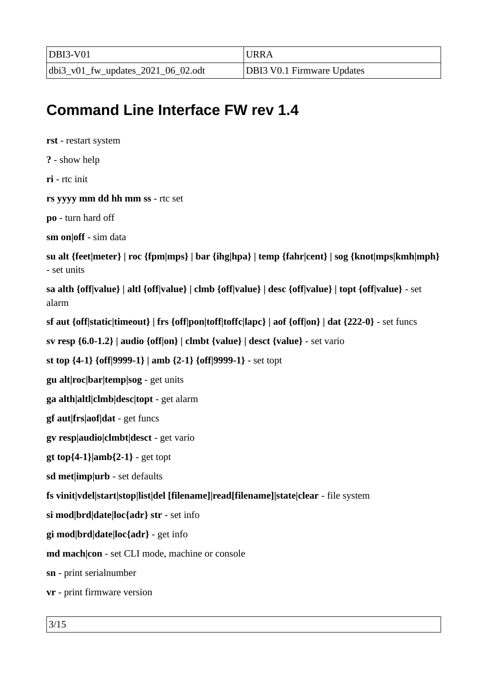| DBI3-V01                           | 'URRA                             |
|------------------------------------|-----------------------------------|
| dbi3_v01_fw_updates_2021_06_02.odt | <b>DBI3 V0.1 Firmware Updates</b> |

# **Command Line Interface FW rev 1.4**

**rst** - restart system **?** - show help **ri** - rtc init **rs yyyy mm dd hh mm ss** - rtc set **po** - turn hard off **sm on|off** - sim data **su alt {feet|meter} | roc {fpm|mps} | bar {ihg|hpa} | temp {fahr|cent} | sog {knot|mps|kmh|mph}** - set units **sa alth {off|value} | altl {off|value} | clmb {off|value} | desc {off|value} | topt {off|value}** - set alarm **sf aut {off|static|timeout} | frs {off|pon|toff|toffc|lapc} | aof {off|on} | dat {222-0}** - set funcs **sv resp {6.0-1.2} | audio {off|on} | clmbt {value} | desct {value}** - set vario **st top {4-1} {off|9999-1} | amb {2-1} {off|9999-1}** - set topt **gu alt|roc|bar|temp|sog** - get units **ga alth|altl|clmb|desc|topt** - get alarm **gf aut|frs|aof|dat** - get funcs **gv resp|audio|clmbt|desct** - get vario **gt top{4-1}|amb{2-1}** - get topt **sd met|imp|urb** - set defaults **fs vinit|vdel|start|stop|list|del [filename]|read[filename]|state|clear** - file system **si mod|brd|date|loc{adr} str** - set info **gi mod|brd|date|loc{adr}** - get info **md mach|con** - set CLI mode, machine or console **sn** - print serialnumber **vr** - print firmware version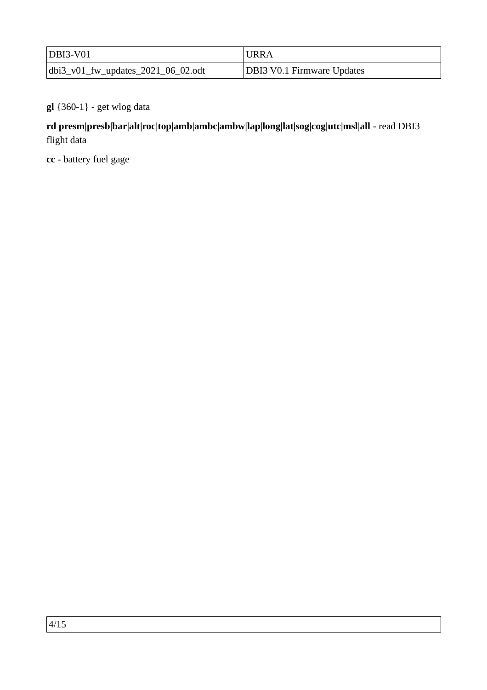| $ DBI3-V01$                           | URRA                              |
|---------------------------------------|-----------------------------------|
| $ dbi3_v01_fw_updates_2021_06_02.odt$ | <b>DBI3 V0.1 Firmware Updates</b> |

#### **gl** {360-1} - get wlog data

#### **rd presm|presb|bar|alt|roc|top|amb|ambc|ambw|lap|long|lat|sog|cog|utc|msl|all** - read DBI3 flight data

**cc** - battery fuel gage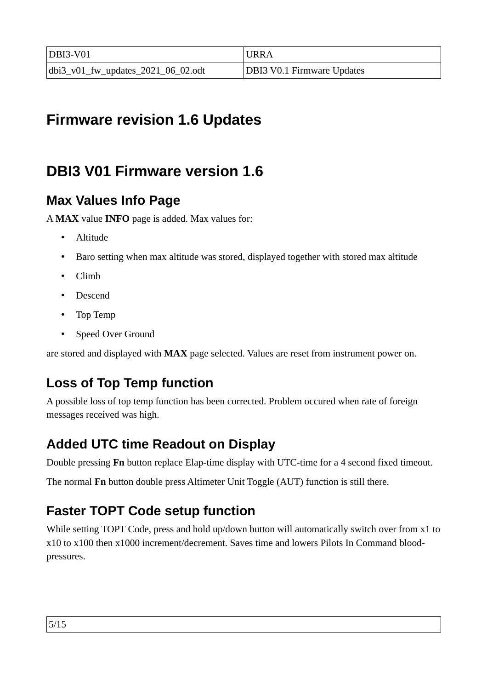| $DBI3-V01$                            | 'URRA                             |
|---------------------------------------|-----------------------------------|
| $ dbi3_v01_fw_updates_2021_06_02.pdf$ | <b>DBI3 V0.1 Firmware Updates</b> |

# **Firmware revision 1.6 Updates**

# **DBI3 V01 Firmware version 1.6**

### **Max Values Info Page**

A **MAX** value **INFO** page is added. Max values for:

- Altitude
- Baro setting when max altitude was stored, displayed together with stored max altitude
- Climb
- Descend
- Top Temp
- Speed Over Ground

are stored and displayed with **MAX** page selected. Values are reset from instrument power on.

## **Loss of Top Temp function**

A possible loss of top temp function has been corrected. Problem occured when rate of foreign messages received was high.

### **Added UTC time Readout on Display**

Double pressing **Fn** button replace Elap-time display with UTC-time for a 4 second fixed timeout.

The normal **Fn** button double press Altimeter Unit Toggle (AUT) function is still there.

### **Faster TOPT Code setup function**

While setting TOPT Code, press and hold up/down button will automatically switch over from x1 to x10 to x100 then x1000 increment/decrement. Saves time and lowers Pilots In Command bloodpressures.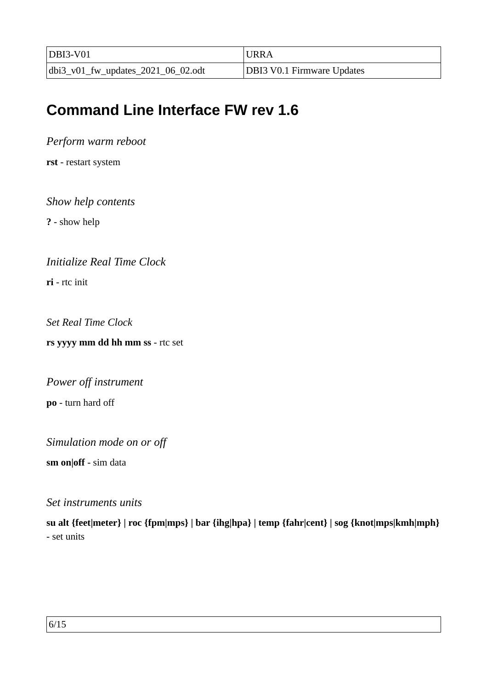| $DBI3-V01$                         | <b>URRA</b>                       |
|------------------------------------|-----------------------------------|
| dbi3_v01_fw_updates_2021_06_02.odt | <b>DBI3 V0.1 Firmware Updates</b> |

# **Command Line Interface FW rev 1.6**

*Perform warm reboot*

**rst** - restart system

#### *Show help contents*

**?** - show help

#### *Initialize Real Time Clock*

**ri** - rtc init

*Set Real Time Clock*

**rs yyyy mm dd hh mm ss** - rtc set

*Power off instrument* **po** - turn hard off

*Simulation mode on or off*

**sm on|off** - sim data

#### *Set instruments units*

**su alt {feet|meter} | roc {fpm|mps} | bar {ihg|hpa} | temp {fahr|cent} | sog {knot|mps|kmh|mph}** - set units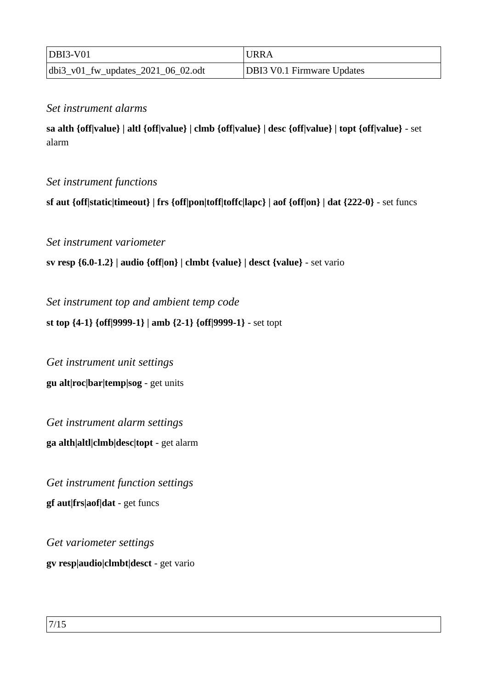| $DBI3-V01$                            | <b>URRA</b>                       |
|---------------------------------------|-----------------------------------|
| $ dbi3_v01_fw_updates_2021_06_02.pdf$ | <b>DBI3 V0.1 Firmware Updates</b> |

#### *Set instrument alarms*

**sa alth {off|value} | altl {off|value} | clmb {off|value} | desc {off|value} | topt {off|value}** - set alarm

#### *Set instrument functions*

**sf aut {off|static|timeout} | frs {off|pon|toff|toffc|lapc} | aof {off|on} | dat {222-0}** - set funcs

*Set instrument variometer* 

**sv resp {6.0-1.2} | audio {off|on} | clmbt {value} | desct {value}** - set vario

*Set instrument top and ambient temp code*

**st top {4-1} {off|9999-1} | amb {2-1} {off|9999-1}** - set topt

*Get instrument unit settings* **gu alt|roc|bar|temp|sog** - get units

*Get instrument alarm settings* **ga alth|altl|clmb|desc|topt** - get alarm

*Get instrument function settings* **gf aut|frs|aof|dat** - get funcs

*Get variometer settings* **gv resp|audio|clmbt|desct** - get vario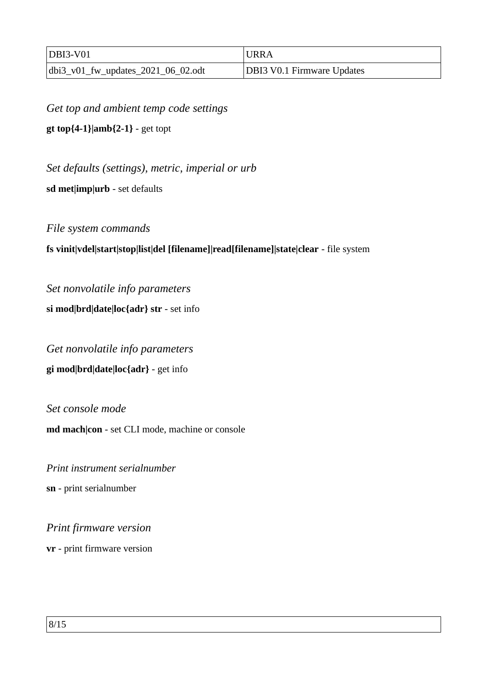| $DBI3-V01$                         | <b>URRA</b>                       |
|------------------------------------|-----------------------------------|
| dbi3_v01_fw_updates_2021_06_02.odt | <b>DBI3 V0.1 Firmware Updates</b> |

*Get top and ambient temp code settings*

**gt top{4-1}|amb{2-1}** - get topt

*Set defaults (settings), metric, imperial or urb*

**sd met|imp|urb** - set defaults

*File system commands*

#### **fs vinit|vdel|start|stop|list|del [filename]|read[filename]|state|clear** - file system

*Set nonvolatile info parameters* **si mod|brd|date|loc{adr} str** - set info

*Get nonvolatile info parameters* **gi mod|brd|date|loc{adr}** - get info

*Set console mode*  **md mach|con** - set CLI mode, machine or console

*Print instrument serialnumber* **sn** - print serialnumber

*Print firmware version*

**vr** - print firmware version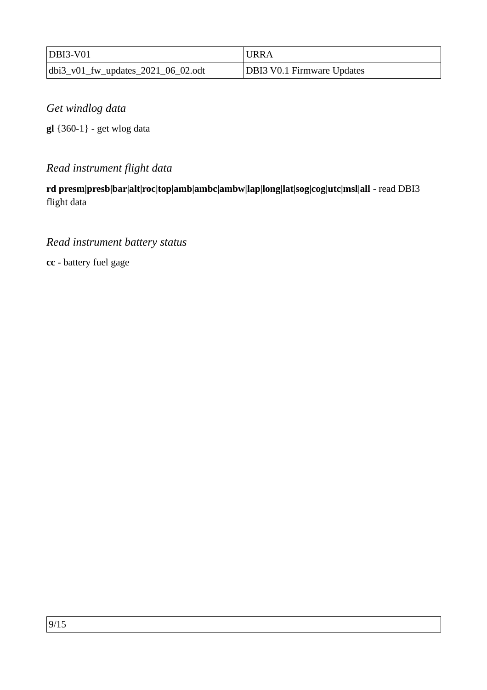| $DBI3-V01$                            | <b>URRA</b>                       |
|---------------------------------------|-----------------------------------|
| $ dbi3_v01_fw_updates_2021_06_02.pdf$ | <b>DBI3 V0.1 Firmware Updates</b> |

*Get windlog data*

**gl** {360-1} - get wlog data

### *Read instrument flight data*

**rd presm|presb|bar|alt|roc|top|amb|ambc|ambw|lap|long|lat|sog|cog|utc|msl|all** - read DBI3 flight data

### *Read instrument battery status*

**cc** - battery fuel gage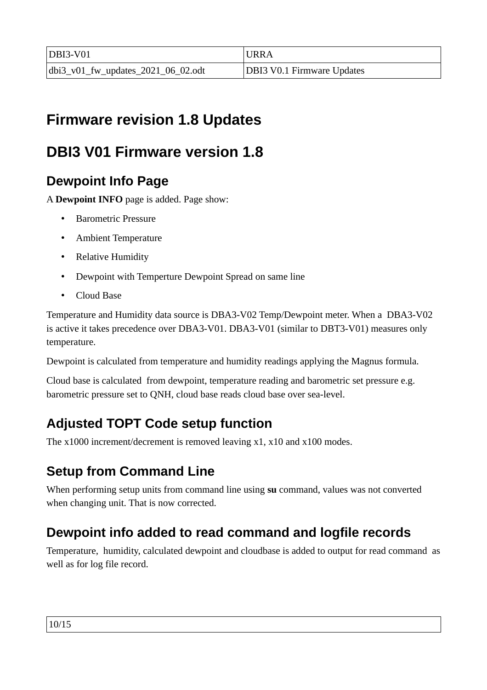| $DBI3-V01$                            | 'URRA                             |
|---------------------------------------|-----------------------------------|
| $ dbi3_v01_fw_updates_2021_06_02.pdf$ | <b>DBI3 V0.1 Firmware Updates</b> |

# **Firmware revision 1.8 Updates**

# **DBI3 V01 Firmware version 1.8**

### **Dewpoint Info Page**

A **Dewpoint INFO** page is added. Page show:

- Barometric Pressure
- Ambient Temperature
- Relative Humidity
- Dewpoint with Temperture Dewpoint Spread on same line
- Cloud Base

Temperature and Humidity data source is DBA3-V02 Temp/Dewpoint meter. When a DBA3-V02 is active it takes precedence over DBA3-V01. DBA3-V01 (similar to DBT3-V01) measures only temperature.

Dewpoint is calculated from temperature and humidity readings applying the Magnus formula.

Cloud base is calculated from dewpoint, temperature reading and barometric set pressure e.g. barometric pressure set to QNH, cloud base reads cloud base over sea-level.

## **Adjusted TOPT Code setup function**

The x1000 increment/decrement is removed leaving x1, x10 and x100 modes.

### **Setup from Command Line**

When performing setup units from command line using **su** command, values was not converted when changing unit. That is now corrected.

## **Dewpoint info added to read command and logfile records**

Temperature, humidity, calculated dewpoint and cloudbase is added to output for read command as well as for log file record.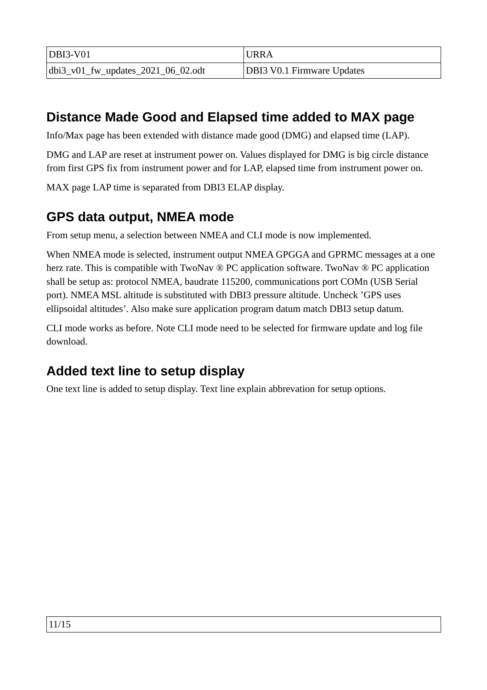| $DBI3-V01$                            | URRA                              |
|---------------------------------------|-----------------------------------|
| $ dbi3_v01_fw_updates_2021_06_02.odt$ | <b>DBI3 V0.1 Firmware Updates</b> |

### **Distance Made Good and Elapsed time added to MAX page**

Info/Max page has been extended with distance made good (DMG) and elapsed time (LAP).

DMG and LAP are reset at instrument power on. Values displayed for DMG is big circle distance from first GPS fix from instrument power and for LAP, elapsed time from instrument power on.

MAX page LAP time is separated from DBI3 ELAP display.

### **GPS data output, NMEA mode**

From setup menu, a selection between NMEA and CLI mode is now implemented.

When NMEA mode is selected, instrument output NMEA GPGGA and GPRMC messages at a one herz rate. This is compatible with TwoNav ® PC application software. TwoNav ® PC application shall be setup as: protocol NMEA, baudrate 115200, communications port COMn (USB Serial port). NMEA MSL altitude is substituted with DBI3 pressure altitude. Uncheck 'GPS uses ellipsoidal altitudes'. Also make sure application program datum match DBI3 setup datum.

CLI mode works as before. Note CLI mode need to be selected for firmware update and log file download.

### **Added text line to setup display**

One text line is added to setup display. Text line explain abbrevation for setup options.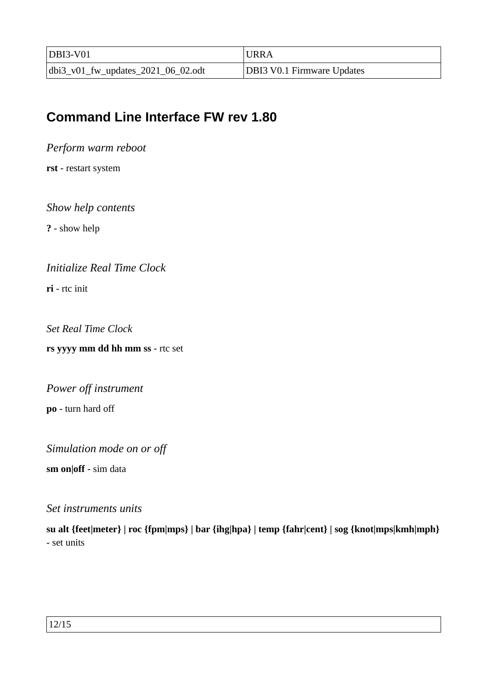| $DBI3-V01$                            | <b>URRA</b>                       |
|---------------------------------------|-----------------------------------|
| $ dbi3_v01_fw_updates_2021_06_02.pdf$ | <b>DBI3 V0.1 Firmware Updates</b> |

### **Command Line Interface FW rev 1.80**

*Perform warm reboot*

**rst** - restart system

*Show help contents*

**?** - show help

*Initialize Real Time Clock*

**ri** - rtc init

*Set Real Time Clock*

**rs yyyy mm dd hh mm ss** - rtc set

*Power off instrument*

**po** - turn hard off

*Simulation mode on or off*

**sm on|off** - sim data

#### *Set instruments units*

**su alt {feet|meter} | roc {fpm|mps} | bar {ihg|hpa} | temp {fahr|cent} | sog {knot|mps|kmh|mph}** - set units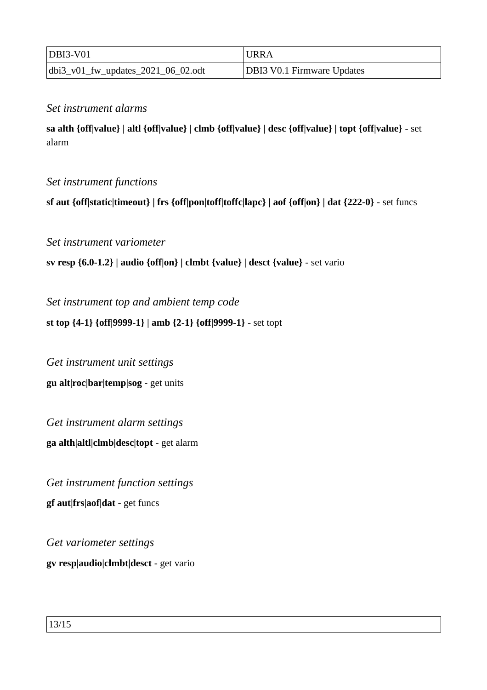| $DBI3-V01$                            | <b>URRA</b>                       |
|---------------------------------------|-----------------------------------|
| $ dbi3_v01_fw_updates_2021_06_02.pdf$ | <b>DBI3 V0.1 Firmware Updates</b> |

#### *Set instrument alarms*

**sa alth {off|value} | altl {off|value} | clmb {off|value} | desc {off|value} | topt {off|value}** - set alarm

#### *Set instrument functions*

**sf aut {off|static|timeout} | frs {off|pon|toff|toffc|lapc} | aof {off|on} | dat {222-0}** - set funcs

*Set instrument variometer* 

**sv resp {6.0-1.2} | audio {off|on} | clmbt {value} | desct {value}** - set vario

*Set instrument top and ambient temp code*

**st top {4-1} {off|9999-1} | amb {2-1} {off|9999-1}** - set topt

*Get instrument unit settings* **gu alt|roc|bar|temp|sog** - get units

*Get instrument alarm settings* **ga alth|altl|clmb|desc|topt** - get alarm

*Get instrument function settings* **gf aut|frs|aof|dat** - get funcs

*Get variometer settings* **gv resp|audio|clmbt|desct** - get vario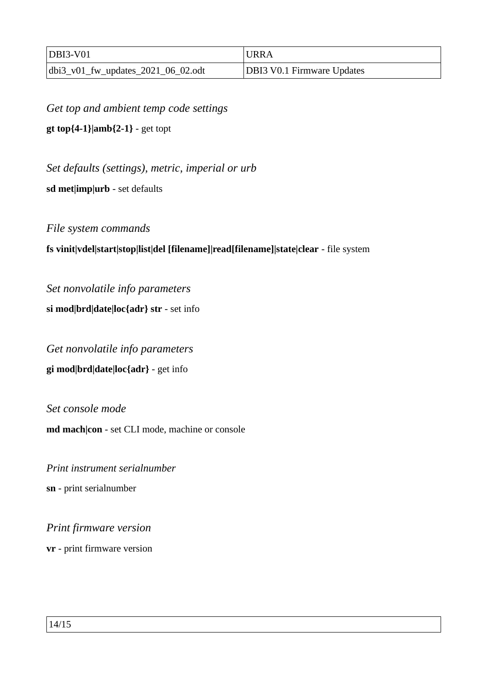| $DBI3-V01$                         | <b>URRA</b>                       |
|------------------------------------|-----------------------------------|
| dbi3_v01_fw_updates_2021_06_02.odt | <b>DBI3 V0.1 Firmware Updates</b> |

*Get top and ambient temp code settings*

**gt top{4-1}|amb{2-1}** - get topt

*Set defaults (settings), metric, imperial or urb*

**sd met|imp|urb** - set defaults

*File system commands*

#### **fs vinit|vdel|start|stop|list|del [filename]|read[filename]|state|clear** - file system

*Set nonvolatile info parameters* **si mod|brd|date|loc{adr} str** - set info

*Get nonvolatile info parameters* **gi mod|brd|date|loc{adr}** - get info

*Set console mode*  **md mach|con** - set CLI mode, machine or console

*Print instrument serialnumber* **sn** - print serialnumber

*Print firmware version*

**vr** - print firmware version